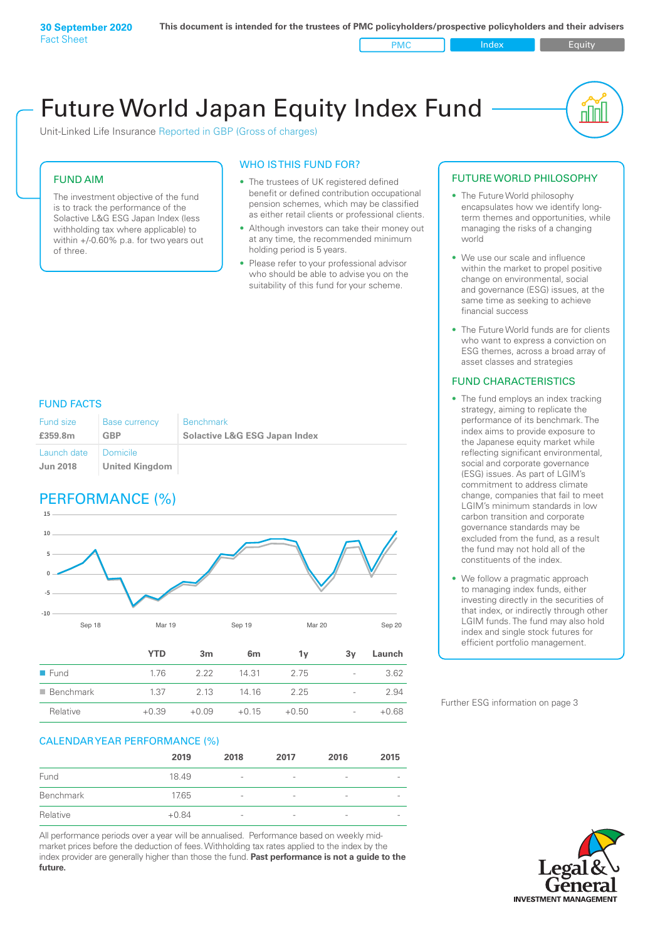Unit-Linked Life Insurance Reported in GBP (Gross of charges)

#### FUND AIM

The investment objective of the fund is to track the performance of the Solactive L&G ESG Japan Index (less withholding tax where applicable) to within +/-0.60% p.a. for two years out of three.

#### WHO IS THIS FUND FOR?

- The trustees of UK registered defined benefit or defined contribution occupational pension schemes, which may be classified as either retail clients or professional clients.
- Although investors can take their money out at any time, the recommended minimum holding period is 5 years.
- Please refer to your professional advisor who should be able to advise you on the suitability of this fund for your scheme.

#### FUND FACTS

| Fund size<br>£359.8m | <b>Base currency</b><br>GBP | <b>Benchmark</b><br><b>Solactive L&amp;G ESG Japan Index</b> |
|----------------------|-----------------------------|--------------------------------------------------------------|
| Launch date          | Domicile                    |                                                              |
| <b>Jun 2018</b>      | <b>United Kingdom</b>       |                                                              |

### PERFORMANCE (%)



| $\blacksquare$ Fund | 1.76    | 2.22    | 14 31   | 2.75    | $\overline{\phantom{a}}$ | 3.62    |
|---------------------|---------|---------|---------|---------|--------------------------|---------|
| ■ Benchmark         | 137     | 2 13    | 14 16   | 225     | $\sim$                   | 2.94    |
| Relative            | $+0.39$ | $+0.09$ | $+0.15$ | $+0.50$ | $\sim$                   | $+0.68$ |

#### CALENDAR YEAR PERFORMANCE (%)

|           | 2019    | 2018                     | 2017                     | 2016            | 2015                     |
|-----------|---------|--------------------------|--------------------------|-----------------|--------------------------|
| Fund      | 18.49   | $\overline{\phantom{a}}$ | $\qquad \qquad$          | $\qquad \qquad$ | $\overline{\phantom{a}}$ |
| Benchmark | 17.65   | $\overline{\phantom{a}}$ | $\overline{\phantom{0}}$ | -               | $\overline{\phantom{a}}$ |
| Relative  | $+0.84$ | $\qquad \qquad$          | $\overline{\phantom{0}}$ | -               | $\overline{\phantom{a}}$ |

All performance periods over a year will be annualised. Performance based on weekly midmarket prices before the deduction of fees. Withholding tax rates applied to the index by the index provider are generally higher than those the fund. **Past performance is not a guide to the future.**

#### FUTURE WORLD PHILOSOPHY

• The Future World philosophy encapsulates how we identify longterm themes and opportunities, while managing the risks of a changing world

nN

- We use our scale and influence within the market to propel positive change on environmental, social and governance (ESG) issues, at the same time as seeking to achieve financial success
- The Future World funds are for clients who want to express a conviction on ESG themes, across a broad array of asset classes and strategies

#### FUND CHARACTERISTICS

- The fund employs an index tracking strategy, aiming to replicate the performance of its benchmark. The index aims to provide exposure to the Japanese equity market while reflecting significant environmental, social and corporate governance (ESG) issues. As part of LGIM's commitment to address climate change, companies that fail to meet LGIM's minimum standards in low carbon transition and corporate governance standards may be excluded from the fund, as a result the fund may not hold all of the constituents of the index.
- We follow a pragmatic approach to managing index funds, either investing directly in the securities of that index, or indirectly through other LGIM funds. The fund may also hold index and single stock futures for efficient portfolio management.

Further ESG information on page 3

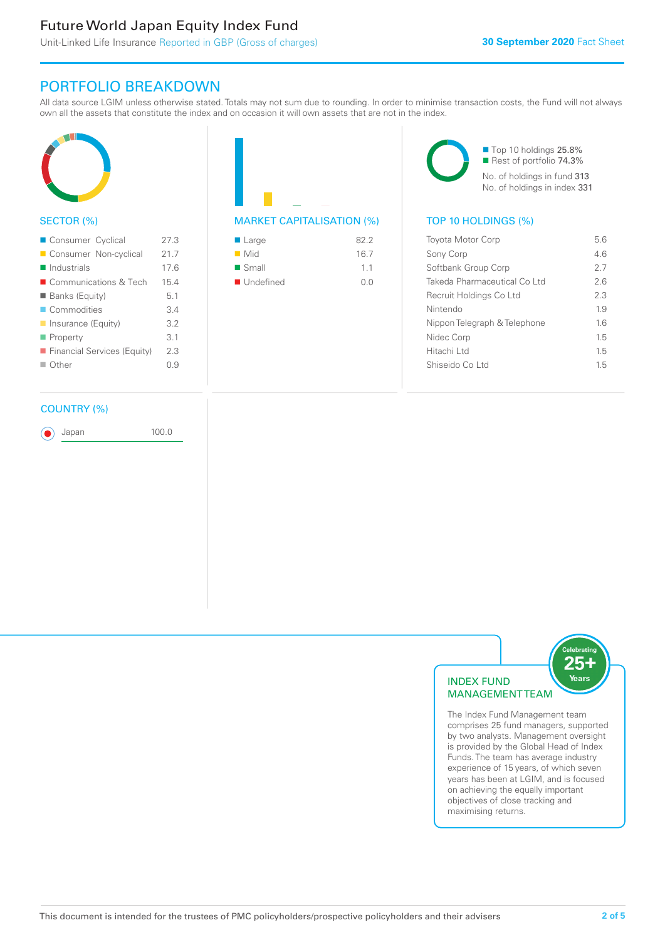### PORTFOLIO BREAKDOWN

All data source LGIM unless otherwise stated. Totals may not sum due to rounding. In order to minimise transaction costs, the Fund will not always own all the assets that constitute the index and on occasion it will own assets that are not in the index.



#### SECTOR (%)

| Consumer Cyclical           | 27 3 |
|-----------------------------|------|
| Consumer Non-cyclical       | 217  |
| $\blacksquare$ Industrials  | 176  |
| ■ Communications & Tech     | 15.4 |
| ■ Banks (Equity)            | 51   |
| Commodities                 | 34   |
| Insurance (Equity)          | 32   |
| $\blacksquare$ Property     | 3.1  |
| Financial Services (Equity) | 23   |
| ■ Other                     | O 9  |
|                             |      |

#### COUNTRY (%)

Japan 100.0

■ Large 82.2  $\blacksquare$  Mid 16.7

| 1.1 |
|-----|
| 0.0 |
|     |

■ Top 10 holdings 25.8% Rest of portfolio 74.3% No. of holdings in fund 313 No. of holdings in index 331

#### MARKET CAPITALISATION (%) TOP 10 HOLDINGS (%)

| <b>Toyota Motor Corp</b>     | 56  |
|------------------------------|-----|
| Sony Corp                    | 46  |
| Softbank Group Corp          | 27  |
| Takeda Pharmaceutical Co Ltd | 26  |
| Recruit Holdings Co Ltd      | 2.3 |
| Nintendo                     | 1.9 |
| Nippon Telegraph & Telephone | 16  |
| Nidec Corp                   | 1.5 |
| Hitachi Ltd                  | 1.5 |
| Shiseido Coltd               | 15  |
|                              |     |



The Index Fund Management team comprises 25 fund managers, supported by two analysts. Management oversight is provided by the Global Head of Index Funds. The team has average industry experience of 15 years, of which seven years has been at LGIM, and is focused on achieving the equally important objectives of close tracking and maximising returns.

251 Years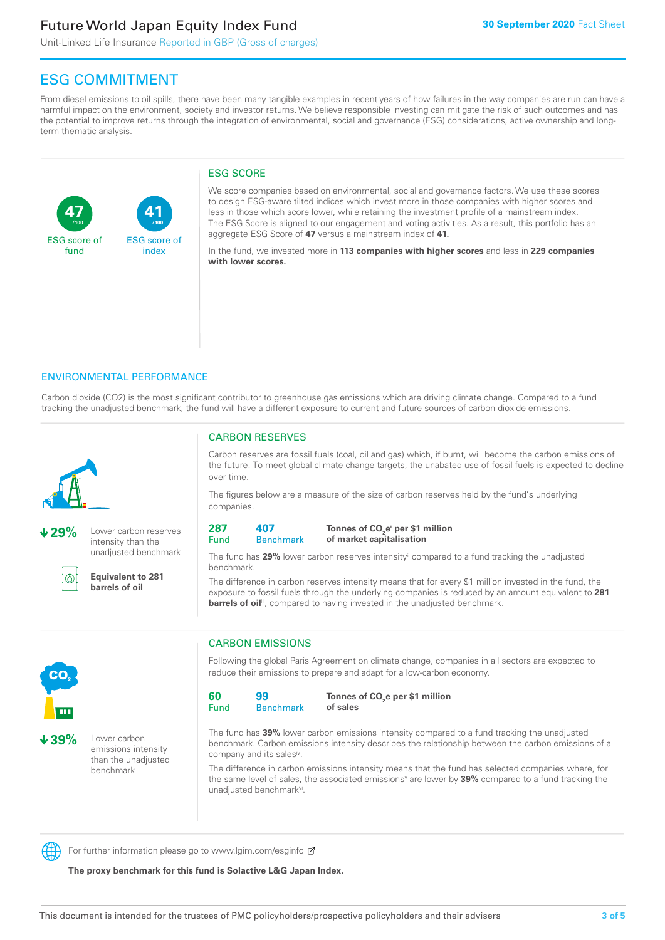**41**

ESG score of index

Unit-Linked Life Insurance Reported in GBP (Gross of charges)

## ESG COMMITMENT

**/100 /100**

From diesel emissions to oil spills, there have been many tangible examples in recent years of how failures in the way companies are run can have a harmful impact on the environment, society and investor returns. We believe responsible investing can mitigate the risk of such outcomes and has the potential to improve returns through the integration of environmental, social and governance (ESG) considerations, active ownership and longterm thematic analysis.

#### ESG SCORE

We score companies based on environmental, social and governance factors. We use these scores to design ESG-aware tilted indices which invest more in those companies with higher scores and less in those which score lower, while retaining the investment profile of a mainstream index. The ESG Score is aligned to our engagement and voting activities. As a result, this portfolio has an aggregate ESG Score of **47** versus a mainstream index of **41.**

In the fund, we invested more in **113 companies with higher scores** and less in **229 companies with lower scores.**

#### ENVIRONMENTAL PERFORMANCE

Carbon dioxide (CO2) is the most significant contributor to greenhouse gas emissions which are driving climate change. Compared to a fund tracking the unadjusted benchmark, the fund will have a different exposure to current and future sources of carbon dioxide emissions.



**47**

ESG score of fund

**29%** Lower carbon reserves intensity than the unadjusted benchmark



**Equivalent to 281 barrels of oil**

#### CARBON RESERVES

Carbon reserves are fossil fuels (coal, oil and gas) which, if burnt, will become the carbon emissions of the future. To meet global climate change targets, the unabated use of fossil fuels is expected to decline over time.

The figures below are a measure of the size of carbon reserves held by the fund's underlying companies.

| 287  | 407 |
|------|-----|
| Fund | Ben |

#### **Benchmark** Tonnes of CO<sub>2</sub>e<sup>i</sup> per \$1 million **of market capitalisation**

The fund has 29% lower carbon reserves intensity<sup>ii</sup> compared to a fund tracking the unadjusted benchmark.

The difference in carbon reserves intensity means that for every \$1 million invested in the fund, the exposure to fossil fuels through the underlying companies is reduced by an amount equivalent to **281**  barrels of oil<sup>iii</sup>, compared to having invested in the unadjusted benchmark.



**39%** Lower carbon emissions intensity than the unadjusted benchmark

### CARBON EMISSIONS

Following the global Paris Agreement on climate change, companies in all sectors are expected to reduce their emissions to prepare and adapt for a low-carbon economy.

| 60   | 99               | Тο |
|------|------------------|----|
| Fund | <b>Benchmark</b> | οf |

Tonnes of CO<sub>2</sub>e per \$1 million **of sales**

The fund has **39%** lower carbon emissions intensity compared to a fund tracking the unadjusted benchmark. Carbon emissions intensity describes the relationship between the carbon emissions of a company and its sales<sup>iv</sup>.

The difference in carbon emissions intensity means that the fund has selected companies where, for the same level of sales, the associated emissions<sup>v</sup> are lower by **39%** compared to a fund tracking the unadjusted benchmark<sup>vi</sup>.

For further information please go to www.lgim.com/esginfo Ø

**The proxy benchmark for this fund is Solactive L&G Japan Index.**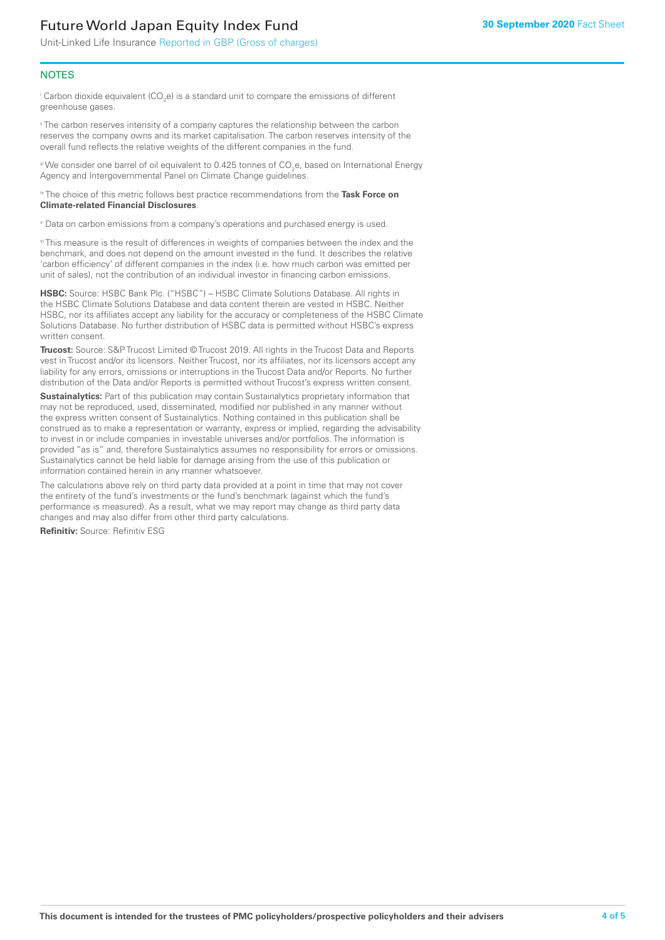Unit-Linked Life Insurance Reported in GBP (Gross of charges)

#### **NOTES**

 $^\mathrm{i}$  Carbon dioxide equivalent (CO<sub>2</sub>e) is a standard unit to compare the emissions of different greenhouse gases.

<sup>ii</sup> The carbon reserves intensity of a company captures the relationship between the carbon reserves the company owns and its market capitalisation. The carbon reserves intensity of the overall fund reflects the relative weights of the different companies in the fund.

iii We consider one barrel of oil equivalent to 0.425 tonnes of CO<sub>2</sub>e, based on International Energy Agency and Intergovernmental Panel on Climate Change guidelines.

#### iv The choice of this metric follows best practice recommendations from the **Task Force on Climate-related Financial Disclosures**.

v Data on carbon emissions from a company's operations and purchased energy is used.

vi This measure is the result of differences in weights of companies between the index and the benchmark, and does not depend on the amount invested in the fund. It describes the relative 'carbon efficiency' of different companies in the index (i.e. how much carbon was emitted per unit of sales), not the contribution of an individual investor in financing carbon emissions.

**HSBC:** Source: HSBC Bank Plc. ("HSBC") – HSBC Climate Solutions Database. All rights in the HSBC Climate Solutions Database and data content therein are vested in HSBC. Neither HSBC, nor its affiliates accept any liability for the accuracy or completeness of the HSBC Climate Solutions Database. No further distribution of HSBC data is permitted without HSBC's express written consent.

**Trucost:** Source: S&P Trucost Limited © Trucost 2019. All rights in the Trucost Data and Reports vest in Trucost and/or its licensors. Neither Trucost, nor its affiliates, nor its licensors accept any liability for any errors, omissions or interruptions in the Trucost Data and/or Reports. No further distribution of the Data and/or Reports is permitted without Trucost's express written consent.

**Sustainalytics:** Part of this publication may contain Sustainalytics proprietary information that may not be reproduced, used, disseminated, modified nor published in any manner without the express written consent of Sustainalytics. Nothing contained in this publication shall be construed as to make a representation or warranty, express or implied, regarding the advisability to invest in or include companies in investable universes and/or portfolios. The information is provided "as is" and, therefore Sustainalytics assumes no responsibility for errors or omissions. Sustainalytics cannot be held liable for damage arising from the use of this publication or information contained herein in any manner whatsoever.

The calculations above rely on third party data provided at a point in time that may not cover the entirety of the fund's investments or the fund's benchmark (against which the fund's performance is measured). As a result, what we may report may change as third party data changes and may also differ from other third party calculations.

**Refinitiv:** Source: Refinitiv ESG